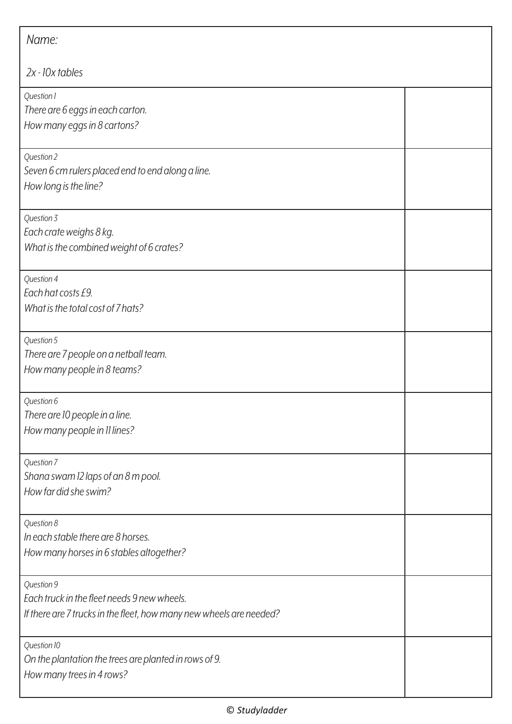| Name:                                                                                                                            |  |
|----------------------------------------------------------------------------------------------------------------------------------|--|
| $2x - 10x$ tables                                                                                                                |  |
| Question 1<br>There are 6 eggs in each carton.<br>How many eggs in 8 cartons?                                                    |  |
| Question 2<br>Seven 6 cm rulers placed end to end along a line.<br>How long is the line?                                         |  |
| Question 3<br>Each crate weighs 8 kg.<br>What is the combined weight of 6 crates?                                                |  |
| Question 4<br>Each hat costs £9.<br>What is the total cost of 7 hats?                                                            |  |
| Question 5<br>There are 7 people on a netball team.<br>How many people in 8 teams?                                               |  |
| Question 6<br>There are 10 people in a line.<br>How many people in 11 lines?                                                     |  |
| Question 7<br>Shana swam 12 laps of an 8 m pool.<br>How far did she swim?                                                        |  |
| Question 8<br>In each stable there are 8 horses.<br>How many horses in 6 stables altogether?                                     |  |
| Question 9<br>Each truck in the fleet needs 9 new wheels.<br>If there are 7 trucks in the fleet, how many new wheels are needed? |  |
| Question 10<br>On the plantation the trees are planted in rows of 9.<br>How many trees in 4 rows?                                |  |